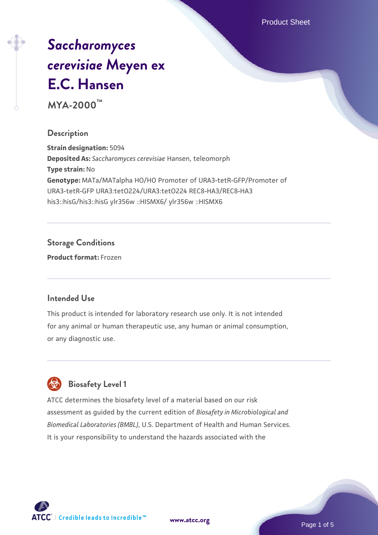Product Sheet

# *[Saccharomyces](https://www.atcc.org/products/mya-2000) [cerevisiae](https://www.atcc.org/products/mya-2000)* **[Meyen ex](https://www.atcc.org/products/mya-2000) [E.C. Hansen](https://www.atcc.org/products/mya-2000)**

**MYA-2000™**

#### **Description**

**Strain designation:** 5094 **Deposited As:** *Saccharomyces cerevisiae* Hansen, teleomorph **Type strain:** No **Genotype:** MATa/MATalpha HO/HO Promoter of URA3-tetR-GFP/Promoter of URA3-tetR-GFP URA3:tetO224/URA3:tetO224 REC8-HA3/REC8-HA3 his3::hisG/his3::hisG ylr356w ::HISMX6/ ylr356w ::HISMX6

## **Storage Conditions**

**Product format:** Frozen

## **Intended Use**

This product is intended for laboratory research use only. It is not intended for any animal or human therapeutic use, any human or animal consumption, or any diagnostic use.



## **Biosafety Level 1**

ATCC determines the biosafety level of a material based on our risk assessment as guided by the current edition of *Biosafety in Microbiological and Biomedical Laboratories (BMBL)*, U.S. Department of Health and Human Services. It is your responsibility to understand the hazards associated with the

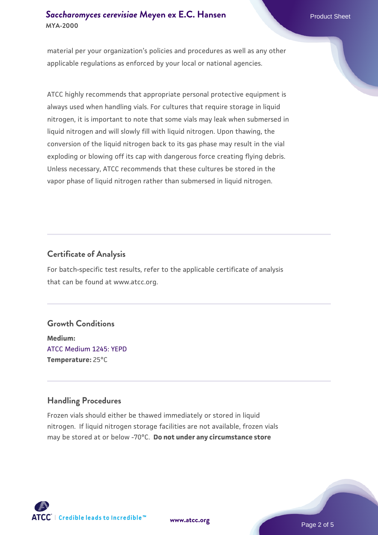material per your organization's policies and procedures as well as any other applicable regulations as enforced by your local or national agencies.

ATCC highly recommends that appropriate personal protective equipment is always used when handling vials. For cultures that require storage in liquid nitrogen, it is important to note that some vials may leak when submersed in liquid nitrogen and will slowly fill with liquid nitrogen. Upon thawing, the conversion of the liquid nitrogen back to its gas phase may result in the vial exploding or blowing off its cap with dangerous force creating flying debris. Unless necessary, ATCC recommends that these cultures be stored in the vapor phase of liquid nitrogen rather than submersed in liquid nitrogen.

## **Certificate of Analysis**

For batch-specific test results, refer to the applicable certificate of analysis that can be found at www.atcc.org.

#### **Growth Conditions**

**Medium:**  [ATCC Medium 1245: YEPD](https://www.atcc.org/-/media/product-assets/documents/microbial-media-formulations/1/2/4/5/atcc-medium-1245.pdf?rev=705ca55d1b6f490a808a965d5c072196) **Temperature:** 25°C

## **Handling Procedures**

Frozen vials should either be thawed immediately or stored in liquid nitrogen. If liquid nitrogen storage facilities are not available, frozen vials may be stored at or below -70°C. **Do not under any circumstance store**



**[www.atcc.org](http://www.atcc.org)**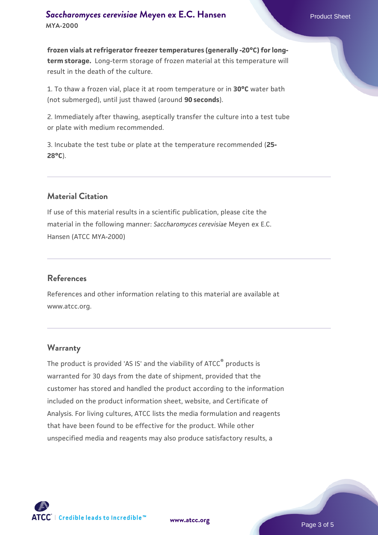**frozen vials at refrigerator freezer temperatures (generally -20°C) for longterm storage.** Long-term storage of frozen material at this temperature will result in the death of the culture.

1. To thaw a frozen vial, place it at room temperature or in **30°C** water bath (not submerged), until just thawed (around **90 seconds**).

2. Immediately after thawing, aseptically transfer the culture into a test tube or plate with medium recommended.

3. Incubate the test tube or plate at the temperature recommended (**25- 28°C**).

## **Material Citation**

If use of this material results in a scientific publication, please cite the material in the following manner: *Saccharomyces cerevisiae* Meyen ex E.C. Hansen (ATCC MYA-2000)

#### **References**

References and other information relating to this material are available at www.atcc.org.

#### **Warranty**

The product is provided 'AS IS' and the viability of ATCC® products is warranted for 30 days from the date of shipment, provided that the customer has stored and handled the product according to the information included on the product information sheet, website, and Certificate of Analysis. For living cultures, ATCC lists the media formulation and reagents that have been found to be effective for the product. While other unspecified media and reagents may also produce satisfactory results, a



**[www.atcc.org](http://www.atcc.org)**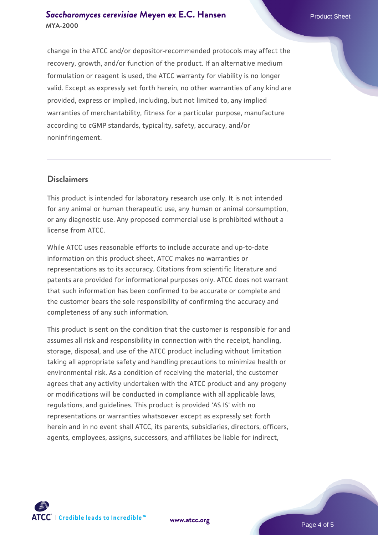change in the ATCC and/or depositor-recommended protocols may affect the recovery, growth, and/or function of the product. If an alternative medium formulation or reagent is used, the ATCC warranty for viability is no longer valid. Except as expressly set forth herein, no other warranties of any kind are provided, express or implied, including, but not limited to, any implied warranties of merchantability, fitness for a particular purpose, manufacture according to cGMP standards, typicality, safety, accuracy, and/or noninfringement.

#### **Disclaimers**

This product is intended for laboratory research use only. It is not intended for any animal or human therapeutic use, any human or animal consumption, or any diagnostic use. Any proposed commercial use is prohibited without a license from ATCC.

While ATCC uses reasonable efforts to include accurate and up-to-date information on this product sheet, ATCC makes no warranties or representations as to its accuracy. Citations from scientific literature and patents are provided for informational purposes only. ATCC does not warrant that such information has been confirmed to be accurate or complete and the customer bears the sole responsibility of confirming the accuracy and completeness of any such information.

This product is sent on the condition that the customer is responsible for and assumes all risk and responsibility in connection with the receipt, handling, storage, disposal, and use of the ATCC product including without limitation taking all appropriate safety and handling precautions to minimize health or environmental risk. As a condition of receiving the material, the customer agrees that any activity undertaken with the ATCC product and any progeny or modifications will be conducted in compliance with all applicable laws, regulations, and guidelines. This product is provided 'AS IS' with no representations or warranties whatsoever except as expressly set forth herein and in no event shall ATCC, its parents, subsidiaries, directors, officers, agents, employees, assigns, successors, and affiliates be liable for indirect,